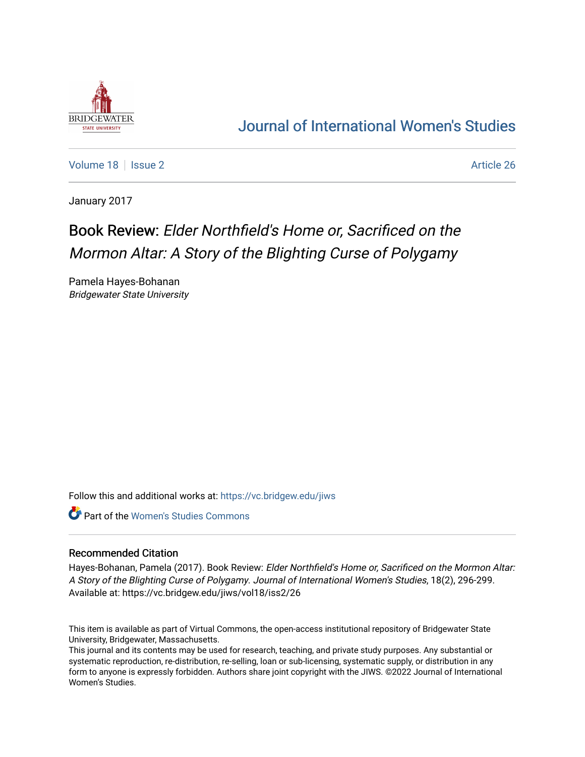

## [Journal of International Women's Studies](https://vc.bridgew.edu/jiws)

[Volume 18](https://vc.bridgew.edu/jiws/vol18) | [Issue 2](https://vc.bridgew.edu/jiws/vol18/iss2) Article 26

January 2017

## Book Review: Elder Northfield's Home or, Sacrificed on the Mormon Altar: A Story of the Blighting Curse of Polygamy

Pamela Hayes-Bohanan Bridgewater State University

Follow this and additional works at: [https://vc.bridgew.edu/jiws](https://vc.bridgew.edu/jiws?utm_source=vc.bridgew.edu%2Fjiws%2Fvol18%2Fiss2%2F26&utm_medium=PDF&utm_campaign=PDFCoverPages)

**C** Part of the Women's Studies Commons

## Recommended Citation

Hayes-Bohanan, Pamela (2017). Book Review: Elder Northfield's Home or, Sacrificed on the Mormon Altar: A Story of the Blighting Curse of Polygamy. Journal of International Women's Studies, 18(2), 296-299. Available at: https://vc.bridgew.edu/jiws/vol18/iss2/26

This item is available as part of Virtual Commons, the open-access institutional repository of Bridgewater State University, Bridgewater, Massachusetts.

This journal and its contents may be used for research, teaching, and private study purposes. Any substantial or systematic reproduction, re-distribution, re-selling, loan or sub-licensing, systematic supply, or distribution in any form to anyone is expressly forbidden. Authors share joint copyright with the JIWS. ©2022 Journal of International Women's Studies.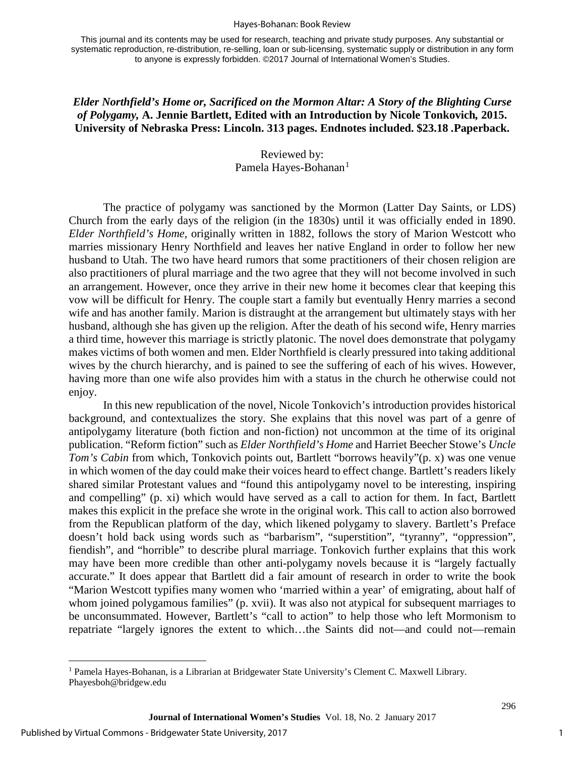## Hayes-Bohanan: Book Review

This journal and its contents may be used for research, teaching and private study purposes. Any substantial or systematic reproduction, re-distribution, re-selling, loan or sub-licensing, systematic supply or distribution in any form to anyone is expressly forbidden. ©2017 Journal of International Women's Studies.

*Elder Northfield's Home or, Sacrificed on the Mormon Altar: A Story of the Blighting Curse of Polygamy,* **A. Jennie Bartlett, Edited with an Introduction by Nicole Tonkovich***,* **2015. University of Nebraska Press: Lincoln. 313 pages. Endnotes included. \$23.18** *.***Paperback.** 

> Reviewed by: Pamela Hayes-Bohanan<sup>[1](#page-1-0)</sup>

The practice of polygamy was sanctioned by the Mormon (Latter Day Saints, or LDS) Church from the early days of the religion (in the 1830s) until it was officially ended in 1890. *Elder Northfield's Home,* originally written in 1882, follows the story of Marion Westcott who marries missionary Henry Northfield and leaves her native England in order to follow her new husband to Utah. The two have heard rumors that some practitioners of their chosen religion are also practitioners of plural marriage and the two agree that they will not become involved in such an arrangement. However, once they arrive in their new home it becomes clear that keeping this vow will be difficult for Henry. The couple start a family but eventually Henry marries a second wife and has another family. Marion is distraught at the arrangement but ultimately stays with her husband, although she has given up the religion. After the death of his second wife, Henry marries a third time, however this marriage is strictly platonic. The novel does demonstrate that polygamy makes victims of both women and men. Elder Northfield is clearly pressured into taking additional wives by the church hierarchy, and is pained to see the suffering of each of his wives. However, having more than one wife also provides him with a status in the church he otherwise could not enjoy.

In this new republication of the novel, Nicole Tonkovich's introduction provides historical background, and contextualizes the story. She explains that this novel was part of a genre of antipolygamy literature (both fiction and non-fiction) not uncommon at the time of its original publication. "Reform fiction" such as *Elder Northfield's Home* and Harriet Beecher Stowe's *Uncle Tom's Cabin* from which, Tonkovich points out, Bartlett "borrows heavily"(p. x) was one venue in which women of the day could make their voices heard to effect change. Bartlett's readers likely shared similar Protestant values and "found this antipolygamy novel to be interesting, inspiring and compelling" (p. xi) which would have served as a call to action for them. In fact, Bartlett makes this explicit in the preface she wrote in the original work. This call to action also borrowed from the Republican platform of the day, which likened polygamy to slavery. Bartlett's Preface doesn't hold back using words such as "barbarism", "superstition", "tyranny", "oppression", fiendish", and "horrible" to describe plural marriage. Tonkovich further explains that this work may have been more credible than other anti-polygamy novels because it is "largely factually accurate." It does appear that Bartlett did a fair amount of research in order to write the book "Marion Westcott typifies many women who 'married within a year' of emigrating, about half of whom joined polygamous families" (p. xvii). It was also not atypical for subsequent marriages to be unconsummated. However, Bartlett's "call to action" to help those who left Mormonism to repatriate "largely ignores the extent to which…the Saints did not—and could not—remain

l

<span id="page-1-0"></span><sup>1</sup> Pamela Hayes-Bohanan, is a Librarian at Bridgewater State University's Clement C. Maxwell Library. Phayesboh@bridgew.edu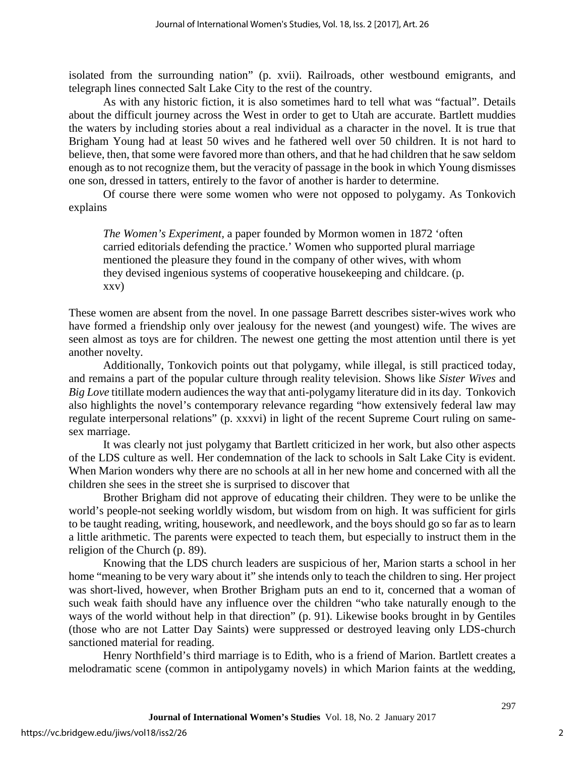isolated from the surrounding nation" (p. xvii). Railroads, other westbound emigrants, and telegraph lines connected Salt Lake City to the rest of the country.

As with any historic fiction, it is also sometimes hard to tell what was "factual". Details about the difficult journey across the West in order to get to Utah are accurate. Bartlett muddies the waters by including stories about a real individual as a character in the novel. It is true that Brigham Young had at least 50 wives and he fathered well over 50 children. It is not hard to believe, then, that some were favored more than others, and that he had children that he saw seldom enough as to not recognize them, but the veracity of passage in the book in which Young dismisses one son, dressed in tatters, entirely to the favor of another is harder to determine.

Of course there were some women who were not opposed to polygamy. As Tonkovich explains

*The Women's Experiment,* a paper founded by Mormon women in 1872 'often carried editorials defending the practice.' Women who supported plural marriage mentioned the pleasure they found in the company of other wives, with whom they devised ingenious systems of cooperative housekeeping and childcare. (p. xxv)

These women are absent from the novel. In one passage Barrett describes sister-wives work who have formed a friendship only over jealousy for the newest (and youngest) wife. The wives are seen almost as toys are for children. The newest one getting the most attention until there is yet another novelty.

Additionally, Tonkovich points out that polygamy, while illegal, is still practiced today, and remains a part of the popular culture through reality television. Shows like *Sister Wives* and *Big Love* titillate modern audiences the way that anti-polygamy literature did in its day. Tonkovich also highlights the novel's contemporary relevance regarding "how extensively federal law may regulate interpersonal relations" (p. xxxvi) in light of the recent Supreme Court ruling on samesex marriage.

It was clearly not just polygamy that Bartlett criticized in her work, but also other aspects of the LDS culture as well. Her condemnation of the lack to schools in Salt Lake City is evident. When Marion wonders why there are no schools at all in her new home and concerned with all the children she sees in the street she is surprised to discover that

Brother Brigham did not approve of educating their children. They were to be unlike the world's people-not seeking worldly wisdom, but wisdom from on high. It was sufficient for girls to be taught reading, writing, housework, and needlework, and the boys should go so far as to learn a little arithmetic. The parents were expected to teach them, but especially to instruct them in the religion of the Church (p. 89).

Knowing that the LDS church leaders are suspicious of her, Marion starts a school in her home "meaning to be very wary about it" she intends only to teach the children to sing. Her project was short-lived, however, when Brother Brigham puts an end to it, concerned that a woman of such weak faith should have any influence over the children "who take naturally enough to the ways of the world without help in that direction" (p. 91). Likewise books brought in by Gentiles (those who are not Latter Day Saints) were suppressed or destroyed leaving only LDS-church sanctioned material for reading.

Henry Northfield's third marriage is to Edith, who is a friend of Marion. Bartlett creates a melodramatic scene (common in antipolygamy novels) in which Marion faints at the wedding,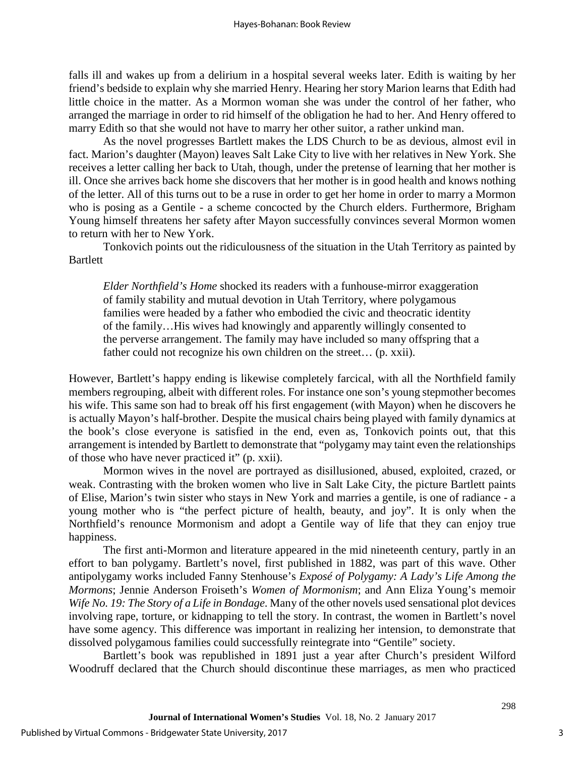falls ill and wakes up from a delirium in a hospital several weeks later. Edith is waiting by her friend's bedside to explain why she married Henry. Hearing her story Marion learns that Edith had little choice in the matter. As a Mormon woman she was under the control of her father, who arranged the marriage in order to rid himself of the obligation he had to her. And Henry offered to marry Edith so that she would not have to marry her other suitor, a rather unkind man.

As the novel progresses Bartlett makes the LDS Church to be as devious, almost evil in fact. Marion's daughter (Mayon) leaves Salt Lake City to live with her relatives in New York. She receives a letter calling her back to Utah, though, under the pretense of learning that her mother is ill. Once she arrives back home she discovers that her mother is in good health and knows nothing of the letter. All of this turns out to be a ruse in order to get her home in order to marry a Mormon who is posing as a Gentile - a scheme concocted by the Church elders. Furthermore, Brigham Young himself threatens her safety after Mayon successfully convinces several Mormon women to return with her to New York.

Tonkovich points out the ridiculousness of the situation in the Utah Territory as painted by **Bartlett** 

*Elder Northfield's Home* shocked its readers with a funhouse-mirror exaggeration of family stability and mutual devotion in Utah Territory, where polygamous families were headed by a father who embodied the civic and theocratic identity of the family…His wives had knowingly and apparently willingly consented to the perverse arrangement. The family may have included so many offspring that a father could not recognize his own children on the street... (p. xxii).

However, Bartlett's happy ending is likewise completely farcical, with all the Northfield family members regrouping, albeit with different roles. For instance one son's young stepmother becomes his wife. This same son had to break off his first engagement (with Mayon) when he discovers he is actually Mayon's half-brother. Despite the musical chairs being played with family dynamics at the book's close everyone is satisfied in the end, even as, Tonkovich points out, that this arrangement is intended by Bartlett to demonstrate that "polygamy may taint even the relationships of those who have never practiced it" (p. xxii).

Mormon wives in the novel are portrayed as disillusioned, abused, exploited, crazed, or weak. Contrasting with the broken women who live in Salt Lake City, the picture Bartlett paints of Elise, Marion's twin sister who stays in New York and marries a gentile, is one of radiance - a young mother who is "the perfect picture of health, beauty, and joy". It is only when the Northfield's renounce Mormonism and adopt a Gentile way of life that they can enjoy true happiness.

The first anti-Mormon and literature appeared in the mid nineteenth century, partly in an effort to ban polygamy. Bartlett's novel, first published in 1882, was part of this wave. Other antipolygamy works included Fanny Stenhouse's *Exposé of Polygamy: A Lady's Life Among the Mormons*; Jennie Anderson Froiseth's *Women of Mormonism*; and Ann Eliza Young's memoir *Wife No. 19: The Story of a Life in Bondage*. Many of the other novels used sensational plot devices involving rape, torture, or kidnapping to tell the story. In contrast, the women in Bartlett's novel have some agency. This difference was important in realizing her intension, to demonstrate that dissolved polygamous families could successfully reintegrate into "Gentile" society.

Bartlett's book was republished in 1891 just a year after Church's president Wilford Woodruff declared that the Church should discontinue these marriages, as men who practiced